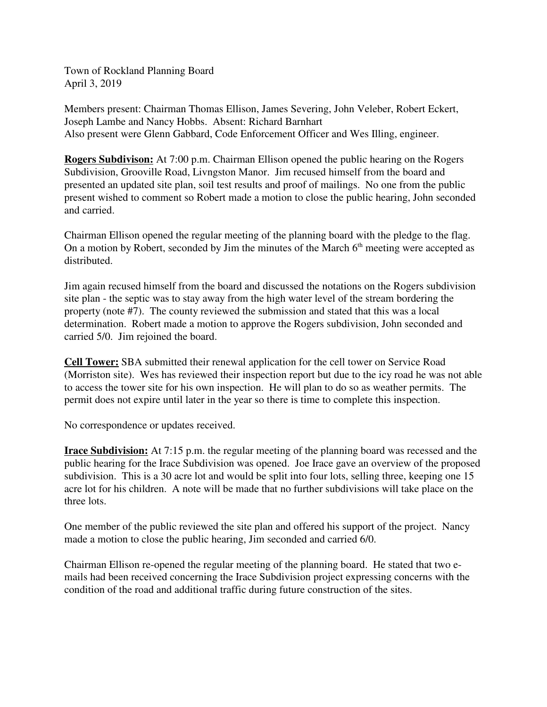Town of Rockland Planning Board April 3, 2019

Members present: Chairman Thomas Ellison, James Severing, John Veleber, Robert Eckert, Joseph Lambe and Nancy Hobbs. Absent: Richard Barnhart Also present were Glenn Gabbard, Code Enforcement Officer and Wes Illing, engineer.

**Rogers Subdivison:** At 7:00 p.m. Chairman Ellison opened the public hearing on the Rogers Subdivision, Grooville Road, Livngston Manor. Jim recused himself from the board and presented an updated site plan, soil test results and proof of mailings. No one from the public present wished to comment so Robert made a motion to close the public hearing, John seconded and carried.

Chairman Ellison opened the regular meeting of the planning board with the pledge to the flag. On a motion by Robert, seconded by Jim the minutes of the March  $6<sup>th</sup>$  meeting were accepted as distributed.

Jim again recused himself from the board and discussed the notations on the Rogers subdivision site plan - the septic was to stay away from the high water level of the stream bordering the property (note #7). The county reviewed the submission and stated that this was a local determination. Robert made a motion to approve the Rogers subdivision, John seconded and carried 5/0. Jim rejoined the board.

**Cell Tower:** SBA submitted their renewal application for the cell tower on Service Road (Morriston site). Wes has reviewed their inspection report but due to the icy road he was not able to access the tower site for his own inspection. He will plan to do so as weather permits. The permit does not expire until later in the year so there is time to complete this inspection.

No correspondence or updates received.

**Irace Subdivision:** At 7:15 p.m. the regular meeting of the planning board was recessed and the public hearing for the Irace Subdivision was opened. Joe Irace gave an overview of the proposed subdivision. This is a 30 acre lot and would be split into four lots, selling three, keeping one 15 acre lot for his children. A note will be made that no further subdivisions will take place on the three lots.

One member of the public reviewed the site plan and offered his support of the project. Nancy made a motion to close the public hearing, Jim seconded and carried 6/0.

Chairman Ellison re-opened the regular meeting of the planning board. He stated that two emails had been received concerning the Irace Subdivision project expressing concerns with the condition of the road and additional traffic during future construction of the sites.